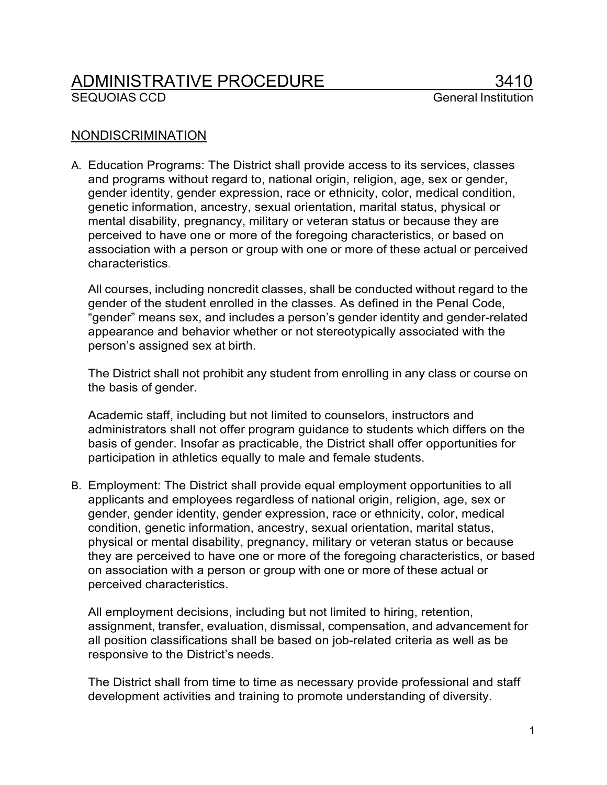## ADMINISTRATIVE PROCEDURE 3410

## NONDISCRIMINATION

A. Education Programs: The District shall provide access to its services, classes and programs without regard to, national origin, religion, age, sex or gender, gender identity, gender expression, race or ethnicity, color, medical condition, genetic information, ancestry, sexual orientation, marital status, physical or mental disability, pregnancy, military or veteran status or because they are perceived to have one or more of the foregoing characteristics, or based on association with a person or group with one or more of these actual or perceived characteristics.

All courses, including noncredit classes, shall be conducted without regard to the gender of the student enrolled in the classes. As defined in the Penal Code, "gender" means sex, and includes a person's gender identity and gender-related appearance and behavior whether or not stereotypically associated with the person's assigned sex at birth.

The District shall not prohibit any student from enrolling in any class or course on the basis of gender.

Academic staff, including but not limited to counselors, instructors and administrators shall not offer program guidance to students which differs on the basis of gender. Insofar as practicable, the District shall offer opportunities for participation in athletics equally to male and female students.

B. Employment: The District shall provide equal employment opportunities to all applicants and employees regardless of national origin, religion, age, sex or gender, gender identity, gender expression, race or ethnicity, color, medical condition, genetic information, ancestry, sexual orientation, marital status, physical or mental disability, pregnancy, military or veteran status or because they are perceived to have one or more of the foregoing characteristics, or based on association with a person or group with one or more of these actual or perceived characteristics.

All employment decisions, including but not limited to hiring, retention, assignment, transfer, evaluation, dismissal, compensation, and advancement for all position classifications shall be based on job-related criteria as well as be responsive to the District's needs.

The District shall from time to time as necessary provide professional and staff development activities and training to promote understanding of diversity.